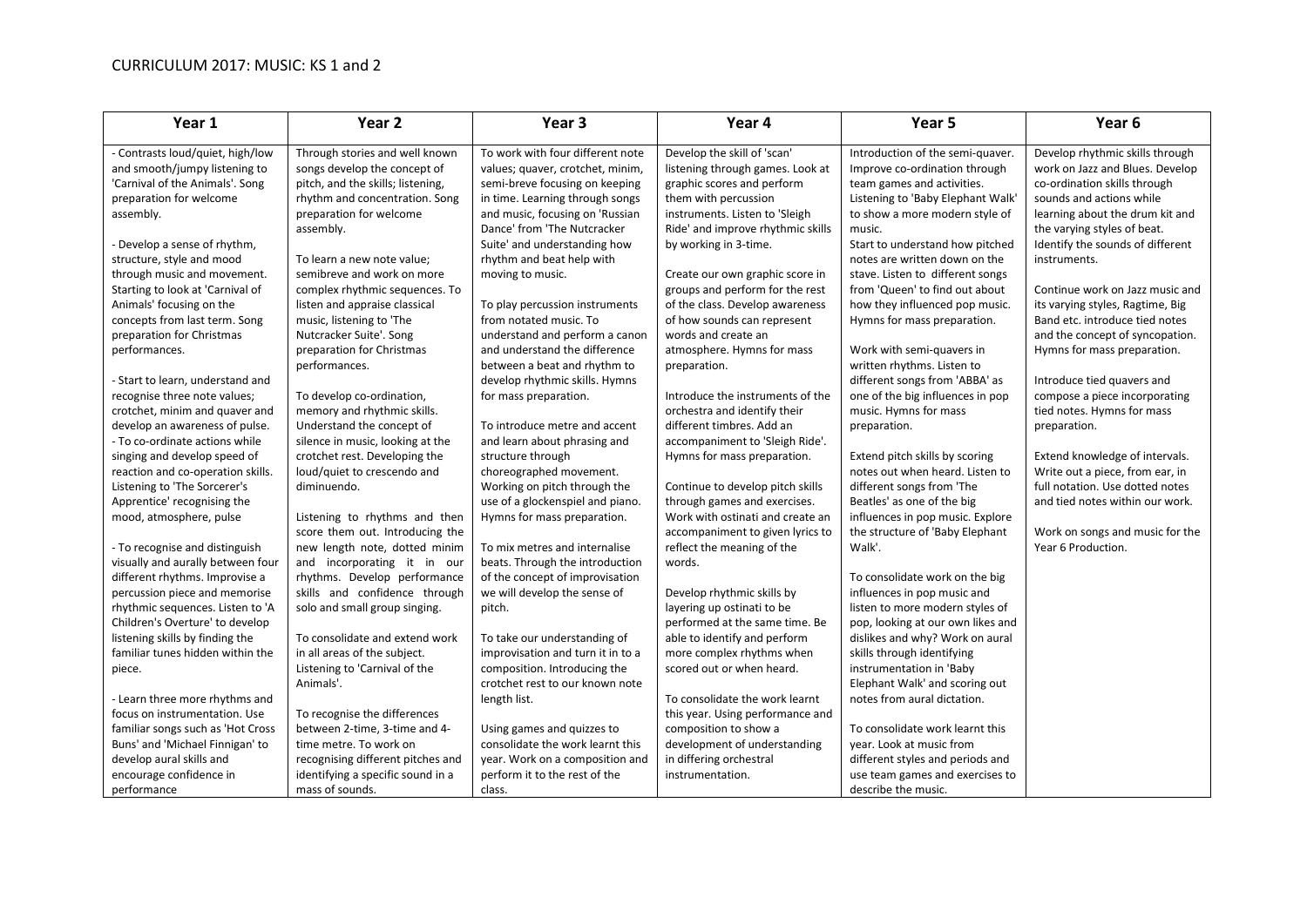## CURRICULUM 2017: MUSIC: KS 1 and 2

| Year 1                            | Year <sub>2</sub>                 | Year <sub>3</sub>                 | Year 4                            | Year 5                            | Year <sub>6</sub>                |
|-----------------------------------|-----------------------------------|-----------------------------------|-----------------------------------|-----------------------------------|----------------------------------|
| - Contrasts loud/quiet, high/low  | Through stories and well known    | To work with four different note  | Develop the skill of 'scan'       | Introduction of the semi-quaver.  | Develop rhythmic skills through  |
| and smooth/jumpy listening to     | songs develop the concept of      | values; quaver, crotchet, minim,  | listening through games. Look at  | Improve co-ordination through     | work on Jazz and Blues. Develop  |
| 'Carnival of the Animals'. Song   | pitch, and the skills; listening, | semi-breve focusing on keeping    | graphic scores and perform        | team games and activities.        | co-ordination skills through     |
| preparation for welcome           | rhythm and concentration. Song    | in time. Learning through songs   | them with percussion              | Listening to 'Baby Elephant Walk' | sounds and actions while         |
| assembly.                         | preparation for welcome           | and music, focusing on 'Russian   | instruments. Listen to 'Sleigh    | to show a more modern style of    | learning about the drum kit and  |
|                                   | assembly.                         | Dance' from 'The Nutcracker       | Ride' and improve rhythmic skills | music.                            | the varying styles of beat.      |
| - Develop a sense of rhythm,      |                                   | Suite' and understanding how      | by working in 3-time.             | Start to understand how pitched   | Identify the sounds of different |
| structure, style and mood         | To learn a new note value;        | rhythm and beat help with         |                                   | notes are written down on the     | instruments.                     |
| through music and movement.       | semibreve and work on more        | moving to music.                  | Create our own graphic score in   | stave. Listen to different songs  |                                  |
| Starting to look at 'Carnival of  | complex rhythmic sequences. To    |                                   | groups and perform for the rest   | from 'Queen' to find out about    | Continue work on Jazz music and  |
| Animals' focusing on the          | listen and appraise classical     | To play percussion instruments    | of the class. Develop awareness   | how they influenced pop music.    | its varying styles, Ragtime, Big |
| concepts from last term. Song     | music, listening to 'The          | from notated music. To            | of how sounds can represent       | Hymns for mass preparation.       | Band etc. introduce tied notes   |
| preparation for Christmas         | Nutcracker Suite'. Song           | understand and perform a canon    | words and create an               |                                   | and the concept of syncopation.  |
| performances.                     | preparation for Christmas         | and understand the difference     | atmosphere. Hymns for mass        | Work with semi-quavers in         | Hymns for mass preparation.      |
|                                   | performances.                     | between a beat and rhythm to      | preparation.                      | written rhythms. Listen to        |                                  |
| - Start to learn, understand and  |                                   | develop rhythmic skills. Hymns    |                                   | different songs from 'ABBA' as    | Introduce tied quavers and       |
| recognise three note values;      | To develop co-ordination,         | for mass preparation.             | Introduce the instruments of the  | one of the big influences in pop  | compose a piece incorporating    |
| crotchet, minim and quaver and    | memory and rhythmic skills.       |                                   | orchestra and identify their      | music. Hymns for mass             | tied notes. Hymns for mass       |
| develop an awareness of pulse.    | Understand the concept of         | To introduce metre and accent     | different timbres. Add an         | preparation.                      | preparation.                     |
| - To co-ordinate actions while    | silence in music, looking at the  | and learn about phrasing and      | accompaniment to 'Sleigh Ride'.   |                                   |                                  |
| singing and develop speed of      | crotchet rest. Developing the     | structure through                 | Hymns for mass preparation.       | Extend pitch skills by scoring    | Extend knowledge of intervals.   |
| reaction and co-operation skills. | loud/quiet to crescendo and       | choreographed movement.           |                                   | notes out when heard. Listen to   | Write out a piece, from ear, in  |
| Listening to 'The Sorcerer's      | diminuendo.                       | Working on pitch through the      | Continue to develop pitch skills  | different songs from 'The         | full notation. Use dotted notes  |
| Apprentice' recognising the       |                                   | use of a glockenspiel and piano.  | through games and exercises.      | Beatles' as one of the big        | and tied notes within our work.  |
| mood, atmosphere, pulse           | Listening to rhythms and then     | Hymns for mass preparation.       | Work with ostinati and create an  | influences in pop music. Explore  |                                  |
|                                   | score them out. Introducing the   |                                   | accompaniment to given lyrics to  | the structure of 'Baby Elephant   | Work on songs and music for the  |
| - To recognise and distinguish    | new length note, dotted minim     | To mix metres and internalise     | reflect the meaning of the        | Walk'.                            | Year 6 Production.               |
| visually and aurally between four | and incorporating it in our       | beats. Through the introduction   | words.                            |                                   |                                  |
| different rhythms. Improvise a    | rhythms. Develop performance      | of the concept of improvisation   |                                   | To consolidate work on the big    |                                  |
| percussion piece and memorise     | skills and confidence through     | we will develop the sense of      | Develop rhythmic skills by        | influences in pop music and       |                                  |
| rhythmic sequences. Listen to 'A  | solo and small group singing.     | pitch.                            | layering up ostinati to be        | listen to more modern styles of   |                                  |
| Children's Overture' to develop   |                                   |                                   | performed at the same time. Be    | pop, looking at our own likes and |                                  |
| listening skills by finding the   | To consolidate and extend work    | To take our understanding of      | able to identify and perform      | dislikes and why? Work on aural   |                                  |
| familiar tunes hidden within the  | in all areas of the subject.      | improvisation and turn it in to a | more complex rhythms when         | skills through identifying        |                                  |
| piece.                            | Listening to 'Carnival of the     | composition. Introducing the      | scored out or when heard.         | instrumentation in 'Baby          |                                  |
|                                   | Animals'.                         | crotchet rest to our known note   |                                   | Elephant Walk' and scoring out    |                                  |
| - Learn three more rhythms and    |                                   | length list.                      | To consolidate the work learnt    | notes from aural dictation.       |                                  |
| focus on instrumentation. Use     | To recognise the differences      |                                   | this year. Using performance and  |                                   |                                  |
| familiar songs such as 'Hot Cross | between 2-time, 3-time and 4-     | Using games and quizzes to        | composition to show a             | To consolidate work learnt this   |                                  |
| Buns' and 'Michael Finnigan' to   | time metre. To work on            | consolidate the work learnt this  | development of understanding      | year. Look at music from          |                                  |
| develop aural skills and          | recognising different pitches and | year. Work on a composition and   | in differing orchestral           | different styles and periods and  |                                  |
| encourage confidence in           | identifying a specific sound in a | perform it to the rest of the     | instrumentation.                  | use team games and exercises to   |                                  |
| performance                       | mass of sounds.                   | class.                            |                                   | describe the music.               |                                  |